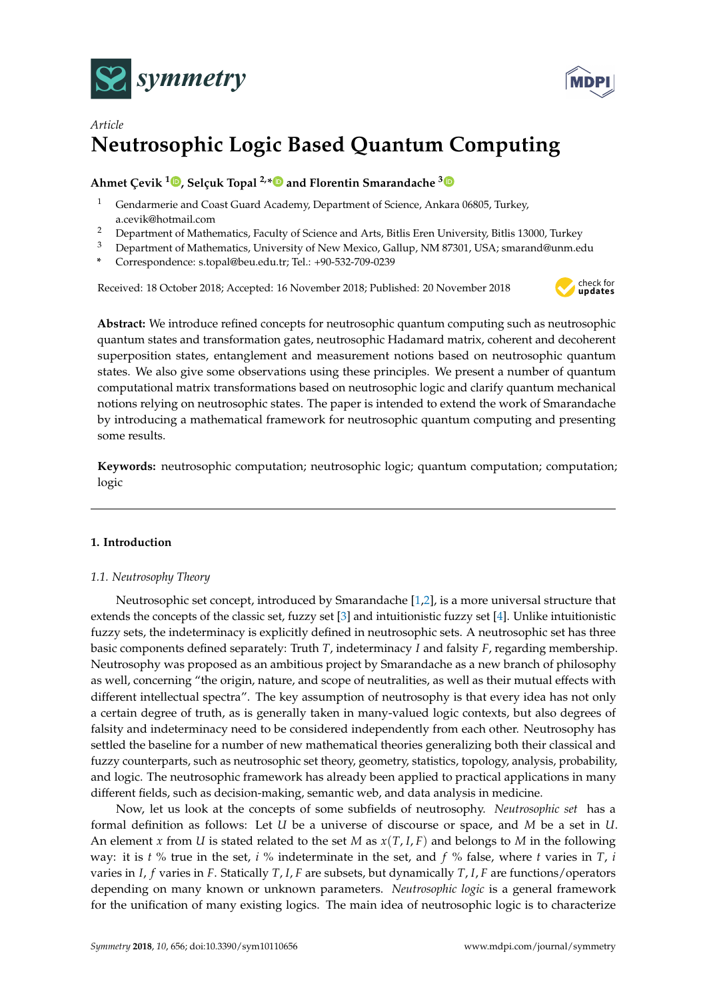



# *Article* **Neutrosophic Logic Based Quantum Computing**

## **Ahmet Çevik <sup>1</sup> [,](https://orcid.org/0000-0002-5578-1225) Selçuk Topal 2,[\\*](https://orcid.org/0000-0001-7074-2569) and Florentin Smarandache [3](https://orcid.org/0000-0002-5560-5926)**

- <sup>1</sup> Gendarmerie and Coast Guard Academy, Department of Science, Ankara 06805, Turkey, a.cevik@hotmail.com
- <sup>2</sup> Department of Mathematics, Faculty of Science and Arts, Bitlis Eren University, Bitlis 13000, Turkey
- <sup>3</sup> Department of Mathematics, University of New Mexico, Gallup, NM 87301, USA; smarand@unm.edu
- **\*** Correspondence: s.topal@beu.edu.tr; Tel.: +90-532-709-0239

Received: 18 October 2018; Accepted: 16 November 2018; Published: 20 November 2018



**Abstract:** We introduce refined concepts for neutrosophic quantum computing such as neutrosophic quantum states and transformation gates, neutrosophic Hadamard matrix, coherent and decoherent superposition states, entanglement and measurement notions based on neutrosophic quantum states. We also give some observations using these principles. We present a number of quantum computational matrix transformations based on neutrosophic logic and clarify quantum mechanical notions relying on neutrosophic states. The paper is intended to extend the work of Smarandache by introducing a mathematical framework for neutrosophic quantum computing and presenting some results.

**Keywords:** neutrosophic computation; neutrosophic logic; quantum computation; computation; logic

## **1. Introduction**

## *1.1. Neutrosophy Theory*

Neutrosophic set concept, introduced by Smarandache [\[1](#page-9-0)[,2\]](#page-9-1), is a more universal structure that extends the concepts of the classic set, fuzzy set [\[3\]](#page-9-2) and intuitionistic fuzzy set [\[4\]](#page-9-3). Unlike intuitionistic fuzzy sets, the indeterminacy is explicitly defined in neutrosophic sets. A neutrosophic set has three basic components defined separately: Truth *T*, indeterminacy *I* and falsity *F*, regarding membership. Neutrosophy was proposed as an ambitious project by Smarandache as a new branch of philosophy as well, concerning "the origin, nature, and scope of neutralities, as well as their mutual effects with different intellectual spectra". The key assumption of neutrosophy is that every idea has not only a certain degree of truth, as is generally taken in many-valued logic contexts, but also degrees of falsity and indeterminacy need to be considered independently from each other. Neutrosophy has settled the baseline for a number of new mathematical theories generalizing both their classical and fuzzy counterparts, such as neutrosophic set theory, geometry, statistics, topology, analysis, probability, and logic. The neutrosophic framework has already been applied to practical applications in many different fields, such as decision-making, semantic web, and data analysis in medicine.

Now, let us look at the concepts of some subfields of neutrosophy. *Neutrosophic set* has a formal definition as follows: Let *U* be a universe of discourse or space, and *M* be a set in *U*. An element *x* from *U* is stated related to the set *M* as  $x(T, I, F)$  and belongs to *M* in the following way: it is *t* % true in the set, *i* % indeterminate in the set, and *f* % false, where *t* varies in *T*, *i* varies in *I*, *f* varies in *F*. Statically *T*, *I*, *F* are subsets, but dynamically *T*, *I*, *F* are functions/operators depending on many known or unknown parameters. *Neutrosophic logic* is a general framework for the unification of many existing logics. The main idea of neutrosophic logic is to characterize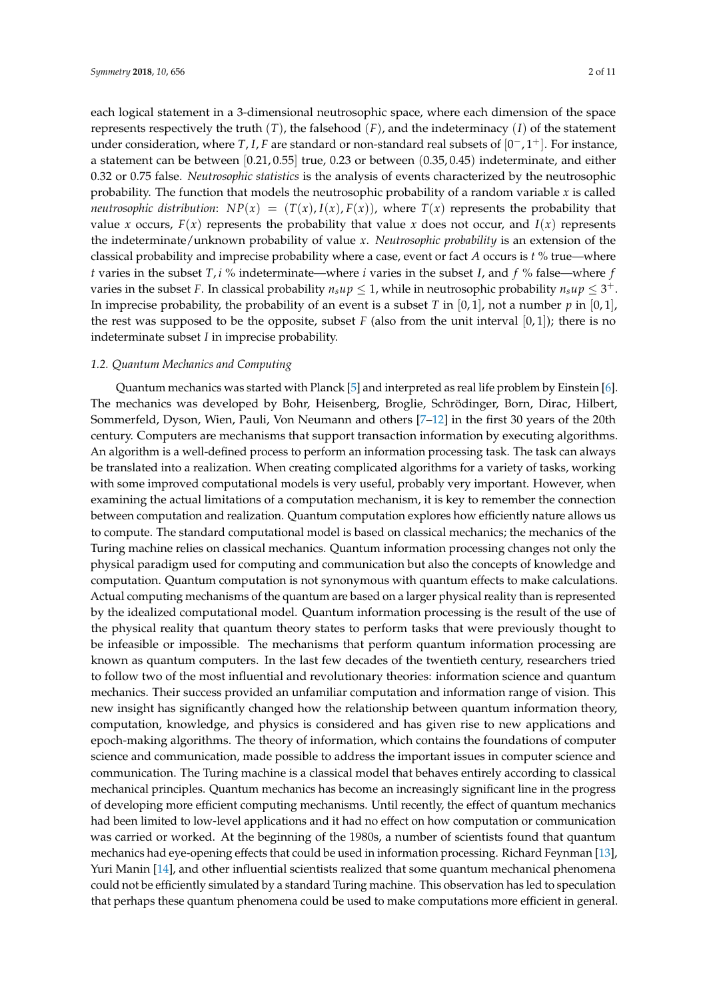each logical statement in a 3-dimensional neutrosophic space, where each dimension of the space represents respectively the truth  $(T)$ , the falsehood  $(F)$ , and the indeterminacy  $(I)$  of the statement under consideration, where *T*, *I*, *F* are standard or non-standard real subsets of [0 <sup>−</sup>, 1+]. For instance, a statement can be between [0.21, 0.55] true, 0.23 or between (0.35, 0.45) indeterminate, and either 0.32 or 0.75 false. *Neutrosophic statistics* is the analysis of events characterized by the neutrosophic probability. The function that models the neutrosophic probability of a random variable *x* is called *neutrosophic distribution:*  $NP(x) = (T(x), I(x), F(x))$ , where  $T(x)$  represents the probability that value *x* occurs,  $F(x)$  represents the probability that value *x* does not occur, and  $I(x)$  represents the indeterminate/unknown probability of value *x*. *Neutrosophic probability* is an extension of the classical probability and imprecise probability where a case, event or fact *A* occurs is *t* % true—where *t* varies in the subset *T*, *i* % indeterminate—where *i* varies in the subset *I*, and *f* % false—where *f* varies in the subset F. In classical probability  $n_s u p \leq 1$ , while in neutrosophic probability  $n_s u p \leq 3^+$ . In imprecise probability, the probability of an event is a subset *T* in  $[0,1]$ , not a number *p* in  $[0,1]$ , the rest was supposed to be the opposite, subset  $F$  (also from the unit interval  $[0,1]$ ); there is no indeterminate subset *I* in imprecise probability.

#### *1.2. Quantum Mechanics and Computing*

Quantum mechanics was started with Planck [\[5\]](#page-9-4) and interpreted as real life problem by Einstein [\[6\]](#page-9-5). The mechanics was developed by Bohr, Heisenberg, Broglie, Schrödinger, Born, Dirac, Hilbert, Sommerfeld, Dyson, Wien, Pauli, Von Neumann and others [\[7–](#page-9-6)[12\]](#page-10-0) in the first 30 years of the 20th century. Computers are mechanisms that support transaction information by executing algorithms. An algorithm is a well-defined process to perform an information processing task. The task can always be translated into a realization. When creating complicated algorithms for a variety of tasks, working with some improved computational models is very useful, probably very important. However, when examining the actual limitations of a computation mechanism, it is key to remember the connection between computation and realization. Quantum computation explores how efficiently nature allows us to compute. The standard computational model is based on classical mechanics; the mechanics of the Turing machine relies on classical mechanics. Quantum information processing changes not only the physical paradigm used for computing and communication but also the concepts of knowledge and computation. Quantum computation is not synonymous with quantum effects to make calculations. Actual computing mechanisms of the quantum are based on a larger physical reality than is represented by the idealized computational model. Quantum information processing is the result of the use of the physical reality that quantum theory states to perform tasks that were previously thought to be infeasible or impossible. The mechanisms that perform quantum information processing are known as quantum computers. In the last few decades of the twentieth century, researchers tried to follow two of the most influential and revolutionary theories: information science and quantum mechanics. Their success provided an unfamiliar computation and information range of vision. This new insight has significantly changed how the relationship between quantum information theory, computation, knowledge, and physics is considered and has given rise to new applications and epoch-making algorithms. The theory of information, which contains the foundations of computer science and communication, made possible to address the important issues in computer science and communication. The Turing machine is a classical model that behaves entirely according to classical mechanical principles. Quantum mechanics has become an increasingly significant line in the progress of developing more efficient computing mechanisms. Until recently, the effect of quantum mechanics had been limited to low-level applications and it had no effect on how computation or communication was carried or worked. At the beginning of the 1980s, a number of scientists found that quantum mechanics had eye-opening effects that could be used in information processing. Richard Feynman [\[13\]](#page-10-1), Yuri Manin [\[14\]](#page-10-2), and other influential scientists realized that some quantum mechanical phenomena could not be efficiently simulated by a standard Turing machine. This observation has led to speculation that perhaps these quantum phenomena could be used to make computations more efficient in general.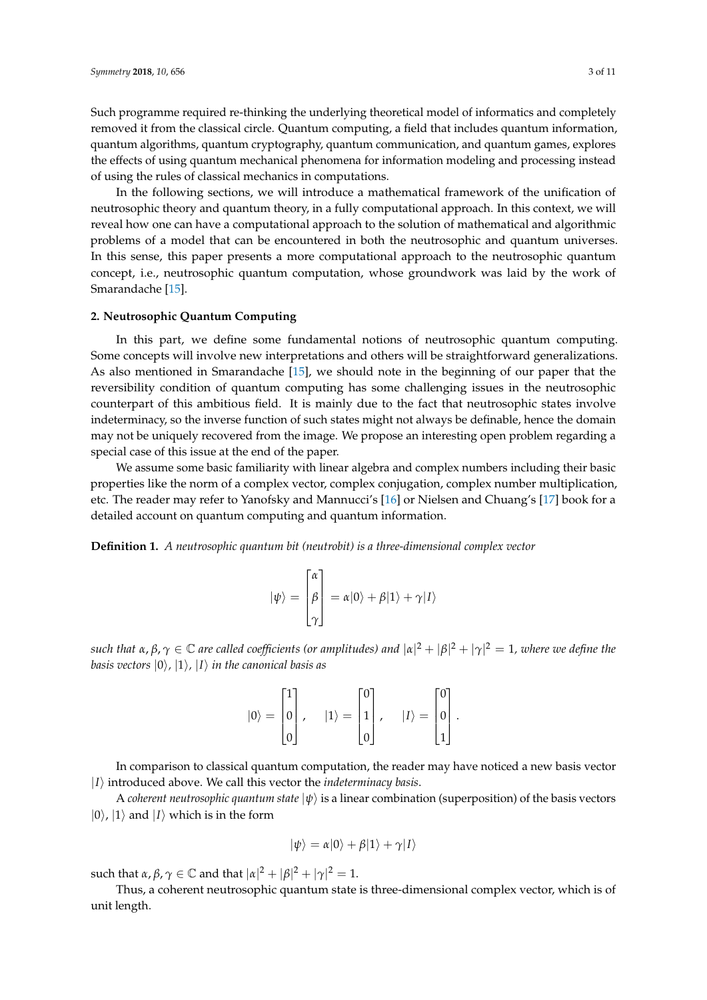Such programme required re-thinking the underlying theoretical model of informatics and completely removed it from the classical circle. Quantum computing, a field that includes quantum information, quantum algorithms, quantum cryptography, quantum communication, and quantum games, explores the effects of using quantum mechanical phenomena for information modeling and processing instead of using the rules of classical mechanics in computations.

In the following sections, we will introduce a mathematical framework of the unification of neutrosophic theory and quantum theory, in a fully computational approach. In this context, we will reveal how one can have a computational approach to the solution of mathematical and algorithmic problems of a model that can be encountered in both the neutrosophic and quantum universes. In this sense, this paper presents a more computational approach to the neutrosophic quantum concept, i.e., neutrosophic quantum computation, whose groundwork was laid by the work of Smarandache [\[15\]](#page-10-3).

### **2. Neutrosophic Quantum Computing**

In this part, we define some fundamental notions of neutrosophic quantum computing. Some concepts will involve new interpretations and others will be straightforward generalizations. As also mentioned in Smarandache [\[15\]](#page-10-3), we should note in the beginning of our paper that the reversibility condition of quantum computing has some challenging issues in the neutrosophic counterpart of this ambitious field. It is mainly due to the fact that neutrosophic states involve indeterminacy, so the inverse function of such states might not always be definable, hence the domain may not be uniquely recovered from the image. We propose an interesting open problem regarding a special case of this issue at the end of the paper.

We assume some basic familiarity with linear algebra and complex numbers including their basic properties like the norm of a complex vector, complex conjugation, complex number multiplication, etc. The reader may refer to Yanofsky and Mannucci's [\[16\]](#page-10-4) or Nielsen and Chuang's [\[17\]](#page-10-5) book for a detailed account on quantum computing and quantum information.

**Definition 1.** *A neutrosophic quantum bit (neutrobit) is a three-dimensional complex vector*

$$
|\psi\rangle = \begin{bmatrix} \alpha \\ \beta \\ \gamma \end{bmatrix} = \alpha|0\rangle + \beta|1\rangle + \gamma|1\rangle
$$

such that α, β,  $\gamma \in \mathbb{C}$  are called coefficients (or amplitudes) and  $|\alpha|^2+|\beta|^2+|\gamma|^2=1$ , where we define the *basis vectors*  $|0\rangle$ ,  $|1\rangle$ ,  $|1\rangle$  *in the canonical basis as* 

| $ 0\rangle$<br>$=$ | $ 0\rangle$ | $ 1\rangle$<br>$\equiv$ | 1 | $ I\rangle =$ | 0              | $\ddot{\phantom{0}}$ |
|--------------------|-------------|-------------------------|---|---------------|----------------|----------------------|
|                    |             |                         |   |               | $\overline{1}$ |                      |

In comparison to classical quantum computation, the reader may have noticed a new basis vector  $|I\rangle$  introduced above. We call this vector the *indeterminacy basis*.

A *coherent neutrosophic quantum state*  $|\psi\rangle$  is a linear combination (superposition) of the basis vectors  $|0\rangle$ ,  $|1\rangle$  and  $|1\rangle$  which is in the form

$$
|\psi\rangle = \alpha|0\rangle + \beta|1\rangle + \gamma|1\rangle
$$

such that  $\alpha$ ,  $\beta$ ,  $\gamma \in \mathbb{C}$  and that  $|\alpha|^2 + |\beta|^2 + |\gamma|^2 = 1$ .

Thus, a coherent neutrosophic quantum state is three-dimensional complex vector, which is of unit length.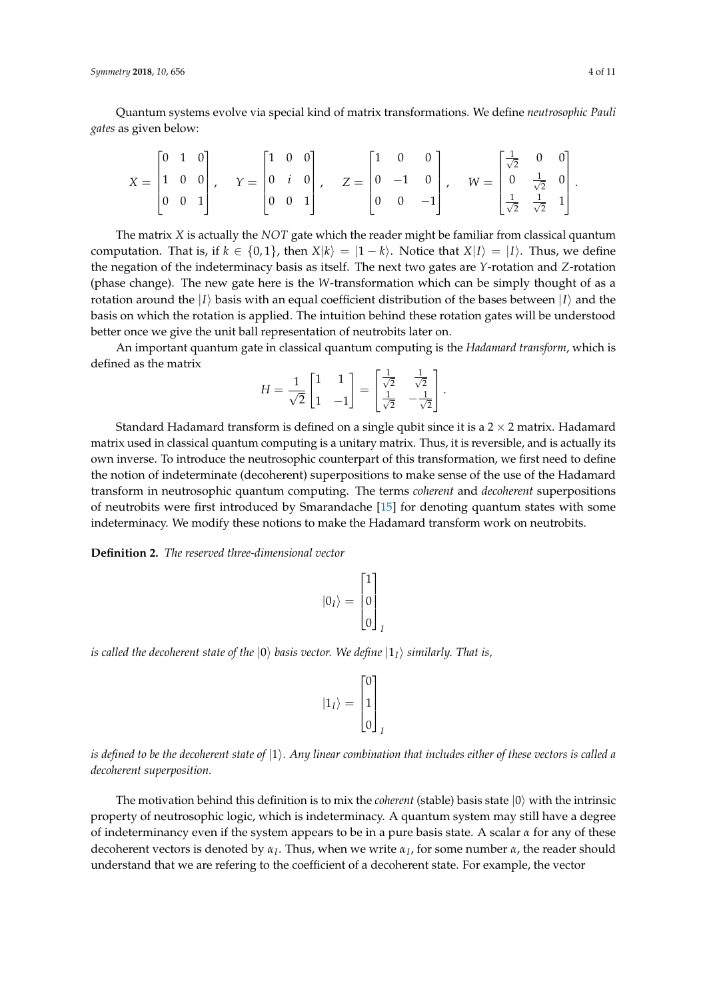*Symmetry* **2018**, *10*, 656 4 of 11

Quantum systems evolve via special kind of matrix transformations. We define *neutrosophic Pauli gates* as given below:

$$
X = \begin{bmatrix} 0 & 1 & 0 \\ 1 & 0 & 0 \\ 0 & 0 & 1 \end{bmatrix}, \quad Y = \begin{bmatrix} 1 & 0 & 0 \\ 0 & i & 0 \\ 0 & 0 & 1 \end{bmatrix}, \quad Z = \begin{bmatrix} 1 & 0 & 0 \\ 0 & -1 & 0 \\ 0 & 0 & -1 \end{bmatrix}, \quad W = \begin{bmatrix} \frac{1}{\sqrt{2}} & 0 & 0 \\ 0 & \frac{1}{\sqrt{2}} & 0 \\ \frac{1}{\sqrt{2}} & \frac{1}{\sqrt{2}} & 1 \end{bmatrix}
$$

The matrix *X* is actually the *NOT* gate which the reader might be familiar from classical quantum computation. That is, if  $k \in \{0, 1\}$ , then  $X|k\rangle = |1 - k\rangle$ . Notice that  $X|I\rangle = |I\rangle$ . Thus, we define the negation of the indeterminacy basis as itself. The next two gates are *Y*-rotation and *Z*-rotation (phase change). The new gate here is the *W*-transformation which can be simply thought of as a rotation around the  $|I\rangle$  basis with an equal coefficient distribution of the bases between  $|I\rangle$  and the basis on which the rotation is applied. The intuition behind these rotation gates will be understood better once we give the unit ball representation of neutrobits later on.

An important quantum gate in classical quantum computing is the *Hadamard transform*, which is defined as the matrix

$$
H = \frac{1}{\sqrt{2}} \begin{bmatrix} 1 & 1 \\ 1 & -1 \end{bmatrix} = \begin{bmatrix} \frac{1}{\sqrt{2}} & \frac{1}{\sqrt{2}} \\ \frac{1}{\sqrt{2}} & -\frac{1}{\sqrt{2}} \end{bmatrix}.
$$

Standard Hadamard transform is defined on a single qubit since it is a  $2 \times 2$  matrix. Hadamard matrix used in classical quantum computing is a unitary matrix. Thus, it is reversible, and is actually its own inverse. To introduce the neutrosophic counterpart of this transformation, we first need to define the notion of indeterminate (decoherent) superpositions to make sense of the use of the Hadamard transform in neutrosophic quantum computing. The terms *coherent* and *decoherent* superpositions of neutrobits were first introduced by Smarandache [\[15\]](#page-10-3) for denoting quantum states with some indeterminacy. We modify these notions to make the Hadamard transform work on neutrobits.

**Definition 2.** *The reserved three-dimensional vector*

$$
|0_I\rangle = \begin{bmatrix} 1 \\ 0 \\ 0 \end{bmatrix}_I
$$

*is called the decoherent state of the*  $|0\rangle$  *basis vector. We define*  $|1\rangle$  *similarly. That is,* 

$$
|1_I\rangle=\begin{bmatrix}0\\1\\0\end{bmatrix}_I
$$

*is defined to be the decoherent state of*  $|1\rangle$ *. Any linear combination that includes either of these vectors is called a decoherent superposition.*

The motivation behind this definition is to mix the *coherent* (stable) basis state  $|0\rangle$  with the intrinsic property of neutrosophic logic, which is indeterminacy. A quantum system may still have a degree of indeterminancy even if the system appears to be in a pure basis state. A scalar *α* for any of these decoherent vectors is denoted by *α<sup>I</sup>* . Thus, when we write *α<sup>I</sup>* , for some number *α*, the reader should understand that we are refering to the coefficient of a decoherent state. For example, the vector

.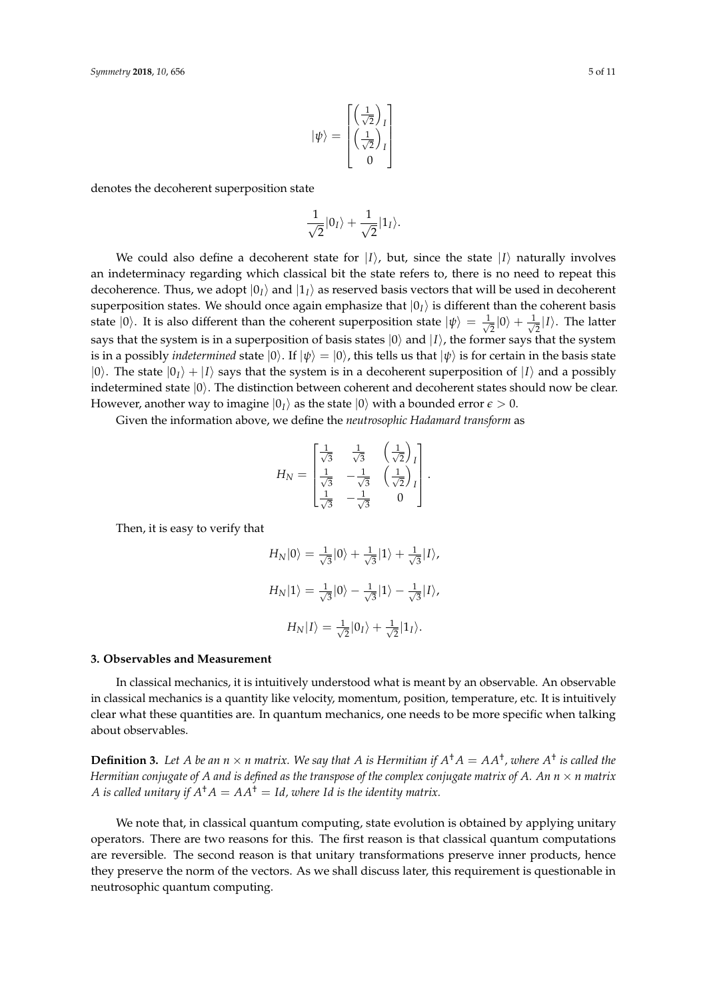$$
|\psi\rangle = \begin{bmatrix} \left(\frac{1}{\sqrt{2}}\right)_I\\ \left(\frac{1}{\sqrt{2}}\right)_I\\ 0 \end{bmatrix}
$$

denotes the decoherent superposition state

$$
\frac{1}{\sqrt{2}}|0_I\rangle + \frac{1}{\sqrt{2}}|1_I\rangle.
$$

We could also define a decoherent state for  $|I\rangle$ , but, since the state  $|I\rangle$  naturally involves an indeterminacy regarding which classical bit the state refers to, there is no need to repeat this decoherence. Thus, we adopt  $|0_I\rangle$  and  $|1_I\rangle$  as reserved basis vectors that will be used in decoherent superposition states. We should once again emphasize that  $|0_I\rangle$  is different than the coherent basis state  $|0\rangle$ . It is also different than the coherent superposition state  $|\psi\rangle = \frac{1}{\sqrt{2}}$  $\frac{1}{2}|0\rangle + \frac{1}{\sqrt{2}}$  $\frac{1}{2}$ |*I*). The latter says that the system is in a superposition of basis states  $|0\rangle$  and  $|I\rangle$ , the former says that the system is in a possibly *indetermined* state  $|0\rangle$ . If  $|\psi\rangle = |0\rangle$ , this tells us that  $|\psi\rangle$  is for certain in the basis state  $|0\rangle$ . The state  $|0\rangle + |I\rangle$  says that the system is in a decoherent superposition of  $|I\rangle$  and a possibly indetermined state  $|0\rangle$ . The distinction between coherent and decoherent states should now be clear. However, another way to imagine  $|0_I\rangle$  as the state  $|0\rangle$  with a bounded error  $\epsilon > 0$ .

Given the information above, we define the *neutrosophic Hadamard transform* as

$$
H_N = \begin{bmatrix} \frac{1}{\sqrt{3}} & \frac{1}{\sqrt{3}} & \left(\frac{1}{\sqrt{2}}\right)_I\\ \frac{1}{\sqrt{3}} & -\frac{1}{\sqrt{3}} & \left(\frac{1}{\sqrt{2}}\right)_I\\ \frac{1}{\sqrt{3}} & -\frac{1}{\sqrt{3}} & 0 \end{bmatrix}
$$

.

Then, it is easy to verify that

$$
H_N|0\rangle = \frac{1}{\sqrt{3}}|0\rangle + \frac{1}{\sqrt{3}}|1\rangle + \frac{1}{\sqrt{3}}|1\rangle,
$$
  

$$
H_N|1\rangle = \frac{1}{\sqrt{3}}|0\rangle - \frac{1}{\sqrt{3}}|1\rangle - \frac{1}{\sqrt{3}}|1\rangle,
$$
  

$$
H_N|1\rangle = \frac{1}{\sqrt{2}}|0_I\rangle + \frac{1}{\sqrt{2}}|1_I\rangle.
$$

#### **3. Observables and Measurement**

In classical mechanics, it is intuitively understood what is meant by an observable. An observable in classical mechanics is a quantity like velocity, momentum, position, temperature, etc. It is intuitively clear what these quantities are. In quantum mechanics, one needs to be more specific when talking about observables.

**Definition 3.** Let A be an  $n \times n$  matrix. We say that A is Hermitian if  $A^{\dagger}A = AA^{\dagger}$ , where  $A^{\dagger}$  is called the *Hermitian conjugate of A and is defined as the transpose of the complex conjugate matrix of A. An*  $n \times n$  *matrix A* is called unitary if  $A^{\dagger}A = AA^{\dagger} = Id$ , where Id is the identity matrix.

We note that, in classical quantum computing, state evolution is obtained by applying unitary operators. There are two reasons for this. The first reason is that classical quantum computations are reversible. The second reason is that unitary transformations preserve inner products, hence they preserve the norm of the vectors. As we shall discuss later, this requirement is questionable in neutrosophic quantum computing.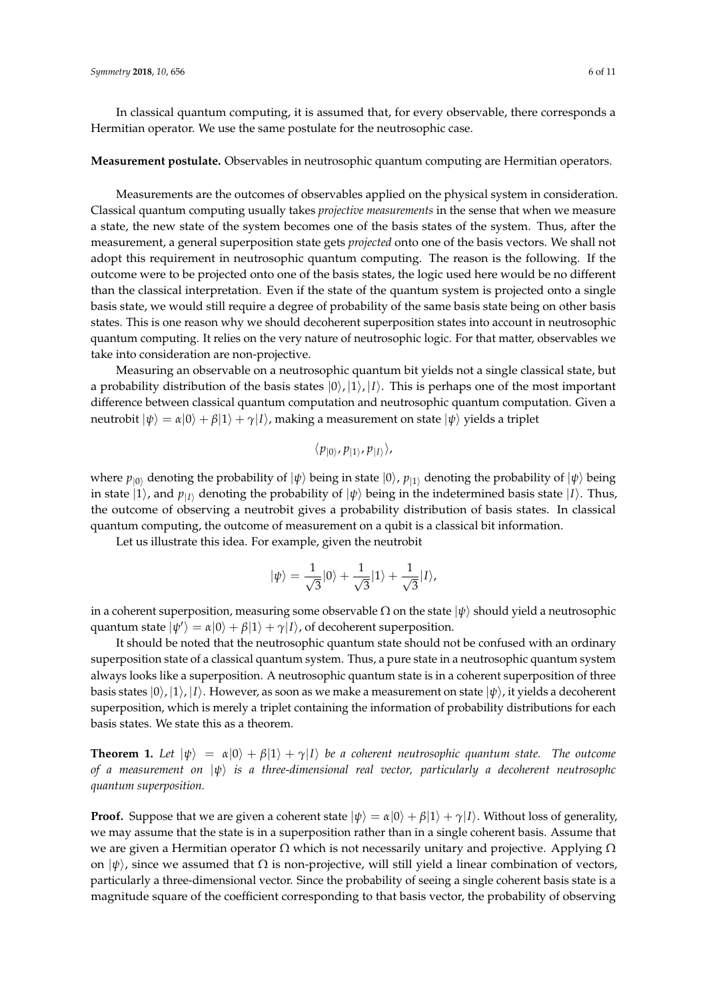In classical quantum computing, it is assumed that, for every observable, there corresponds a Hermitian operator. We use the same postulate for the neutrosophic case.

#### **Measurement postulate.** Observables in neutrosophic quantum computing are Hermitian operators.

Measurements are the outcomes of observables applied on the physical system in consideration. Classical quantum computing usually takes *projective measurements* in the sense that when we measure a state, the new state of the system becomes one of the basis states of the system. Thus, after the measurement, a general superposition state gets *projected* onto one of the basis vectors. We shall not adopt this requirement in neutrosophic quantum computing. The reason is the following. If the outcome were to be projected onto one of the basis states, the logic used here would be no different than the classical interpretation. Even if the state of the quantum system is projected onto a single basis state, we would still require a degree of probability of the same basis state being on other basis states. This is one reason why we should decoherent superposition states into account in neutrosophic quantum computing. It relies on the very nature of neutrosophic logic. For that matter, observables we take into consideration are non-projective.

Measuring an observable on a neutrosophic quantum bit yields not a single classical state, but a probability distribution of the basis states  $|0\rangle$ ,  $|1\rangle$ ,  $|1\rangle$ . This is perhaps one of the most important difference between classical quantum computation and neutrosophic quantum computation. Given a neutrobit  $|\psi\rangle = \alpha|0\rangle + \beta|1\rangle + \gamma|1\rangle$ , making a measurement on state  $|\psi\rangle$  yields a triplet

$$
\langle p_{|0\rangle}, p_{|1\rangle}, p_{|I\rangle}\rangle,
$$

where  $p_{|0\rangle}$  denoting the probability of  $|\psi\rangle$  being in state  $|0\rangle$ ,  $p_{|1\rangle}$  denoting the probability of  $|\psi\rangle$  being in state  $|1\rangle$ , and  $p_{|I\rangle}$  denoting the probability of  $|\psi\rangle$  being in the indetermined basis state  $|I\rangle$ . Thus, the outcome of observing a neutrobit gives a probability distribution of basis states. In classical quantum computing, the outcome of measurement on a qubit is a classical bit information.

Let us illustrate this idea. For example, given the neutrobit

$$
|\psi\rangle = \frac{1}{\sqrt{3}}|0\rangle + \frac{1}{\sqrt{3}}|1\rangle + \frac{1}{\sqrt{3}}|1\rangle,
$$

in a coherent superposition, measuring some observable  $\Omega$  on the state  $|\psi\rangle$  should yield a neutrosophic quantum state  $|\psi'\rangle = \alpha|0\rangle + \beta|1\rangle + \gamma|1\rangle$ , of decoherent superposition.

It should be noted that the neutrosophic quantum state should not be confused with an ordinary superposition state of a classical quantum system. Thus, a pure state in a neutrosophic quantum system always looks like a superposition. A neutrosophic quantum state is in a coherent superposition of three basis states  $|0\rangle, |1\rangle, |I\rangle$ . However, as soon as we make a measurement on state  $|\psi\rangle$ , it yields a decoherent superposition, which is merely a triplet containing the information of probability distributions for each basis states. We state this as a theorem.

**Theorem 1.** Let  $|\psi\rangle = \alpha|0\rangle + \beta|1\rangle + \gamma|1\rangle$  be a coherent neutrosophic quantum state. The outcome *of a measurement on* |*ψ*i *is a three-dimensional real vector, particularly a decoherent neutrosophc quantum superposition.*

**Proof.** Suppose that we are given a coherent state  $|\psi\rangle = \alpha|0\rangle + \beta|1\rangle + \gamma|1\rangle$ . Without loss of generality, we may assume that the state is in a superposition rather than in a single coherent basis. Assume that we are given a Hermitian operator  $Ω$  which is not necessarily unitary and projective. Applying  $Ω$ on  $|\psi\rangle$ , since we assumed that  $\Omega$  is non-projective, will still yield a linear combination of vectors, particularly a three-dimensional vector. Since the probability of seeing a single coherent basis state is a magnitude square of the coefficient corresponding to that basis vector, the probability of observing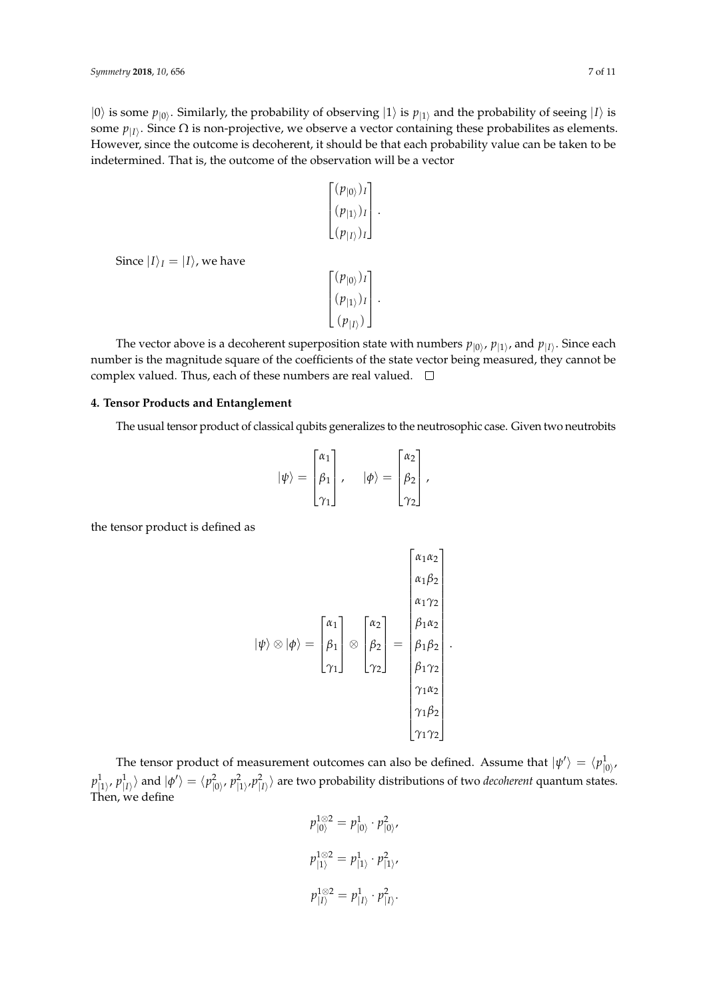$|0\rangle$  is some  $p_{|0\rangle}$ . Similarly, the probability of observing  $|1\rangle$  is  $p_{|1\rangle}$  and the probability of seeing  $|1\rangle$  is some  $p_{|I\rangle}$ . Since  $\Omega$  is non-projective, we observe a vector containing these probabilites as elements. However, since the outcome is decoherent, it should be that each probability value can be taken to be indetermined. That is, the outcome of the observation will be a vector

.

.

$$
\begin{bmatrix}\n(p_{\vert 0\rangle})_I \\
(p_{\vert 1\rangle})_I \\
(p_{\vert I\rangle})_I\n\end{bmatrix}
$$
\n
$$
\begin{bmatrix}\n(p_{\vert 0\rangle})_I \\
(p_{\vert 1\rangle})_I \\
(p_{\vert I\rangle})\n\end{bmatrix}
$$

The vector above is a decoherent superposition state with numbers  $p_{|0\rangle}$ ,  $p_{|1\rangle}$ , and  $p_{|I\rangle}$ . Since each number is the magnitude square of the coefficients of the state vector being measured, they cannot be complex valued. Thus, each of these numbers are real valued.  $\square$ 

#### **4. Tensor Products and Entanglement**

Since  $|I\rangle_I = |I\rangle$ , we have

The usual tensor product of classical qubits generalizes to the neutrosophic case. Given two neutrobits

$$
|\psi\rangle = \begin{bmatrix} \alpha_1 \\ \beta_1 \\ \gamma_1 \end{bmatrix}, \quad |\phi\rangle = \begin{bmatrix} \alpha_2 \\ \beta_2 \\ \gamma_2 \end{bmatrix},
$$

the tensor product is defined as

$$
|\psi\rangle \otimes |\phi\rangle = \begin{bmatrix} \alpha_1 \\ \beta_1 \\ \gamma_1 \end{bmatrix} \otimes \begin{bmatrix} \alpha_2 \\ \beta_2 \\ \gamma_2 \end{bmatrix} = \begin{bmatrix} \beta_1 \alpha_2 \\ \beta_1 \alpha_2 \\ \beta_1 \beta_2 \\ \beta_1 \gamma_2 \\ \gamma_1 \alpha_2 \\ \gamma_1 \beta_2 \\ \gamma_1 \gamma_2 \end{bmatrix}.
$$

The tensor product of measurement outcomes can also be defined. Assume that  $|\psi'\rangle = \langle p_{\vert 0\rangle}^1$  $|0\rangle$  $p_{|1\rangle}^1$ ,  $p_{|I\rangle}^1\rangle$  and  $|\phi'\rangle=\langle p_{|0\rangle}^2$ ,  $p_{|1\rangle}^2,p_{|I\rangle}^2\rangle$  are two probability distributions of two *decoherent* quantum states. Then, we define

$$
p_{|0\rangle}^{1 \otimes 2} = p_{|0\rangle}^{1} \cdot p_{|0\rangle}^{2},
$$
  

$$
p_{|1\rangle}^{1 \otimes 2} = p_{|1\rangle}^{1} \cdot p_{|1\rangle}^{2},
$$
  

$$
p_{|I\rangle}^{1 \otimes 2} = p_{|I\rangle}^{1} \cdot p_{|I\rangle}^{2}.
$$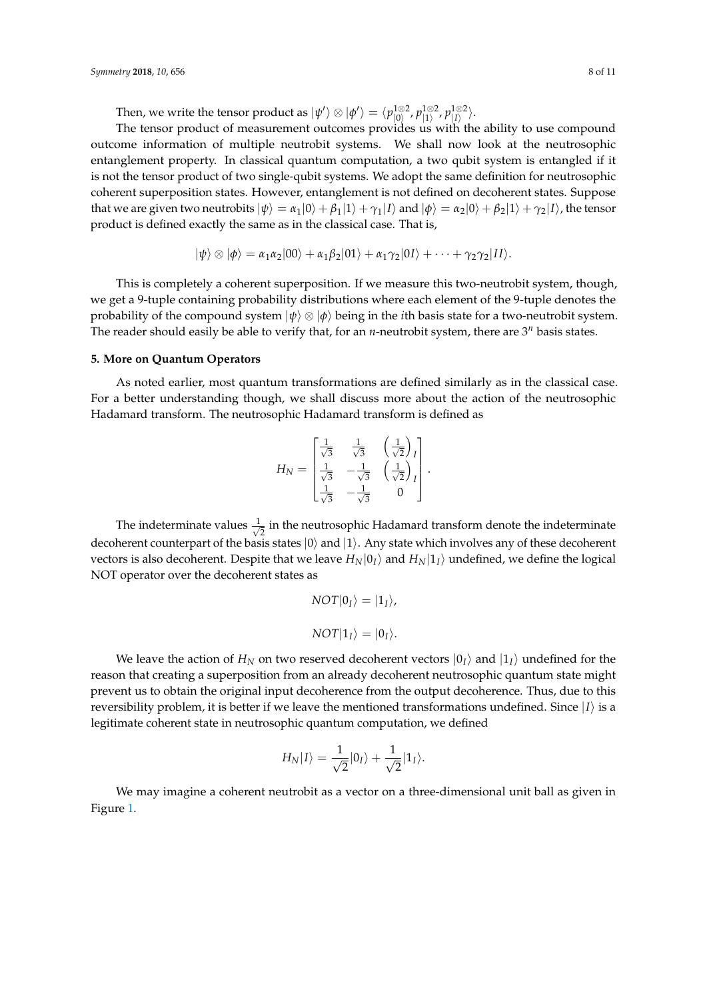Then, we write the tensor product as  $\ket{\psi'}\otimes\ket{\phi'}=\bra{p_{\ket{0}}^{\text{1}\otimes 2}}$  $|0\rangle$ <sup>1⊗2</sup>,  $p$ <sup>1⊗2</sup> <sup>1⊗2</sup>, p<sup>1⊗2</sup><br>|1〉, *p*|<sub>*I*</sub>  $\vert I\rangle^{\otimes 2}$ .

The tensor product of measurement outcomes provides us with the ability to use compound outcome information of multiple neutrobit systems. We shall now look at the neutrosophic entanglement property. In classical quantum computation, a two qubit system is entangled if it is not the tensor product of two single-qubit systems. We adopt the same definition for neutrosophic coherent superposition states. However, entanglement is not defined on decoherent states. Suppose that we are given two neutrobits  $|\psi\rangle = \alpha_1|0\rangle + \beta_1|1\rangle + \gamma_1|1\rangle$  and  $|\phi\rangle = \alpha_2|0\rangle + \beta_2|1\rangle + \gamma_2|1\rangle$ , the tensor product is defined exactly the same as in the classical case. That is,

$$
|\psi\rangle \otimes |\phi\rangle = \alpha_1 \alpha_2 |00\rangle + \alpha_1 \beta_2 |01\rangle + \alpha_1 \gamma_2 |01\rangle + \cdots + \gamma_2 \gamma_2 |11\rangle.
$$

This is completely a coherent superposition. If we measure this two-neutrobit system, though, we get a 9-tuple containing probability distributions where each element of the 9-tuple denotes the probability of the compound system  $|\psi\rangle \otimes |\phi\rangle$  being in the *i*th basis state for a two-neutrobit system. The reader should easily be able to verify that, for an *n*-neutrobit system, there are  $3^n$  basis states.

#### **5. More on Quantum Operators**

As noted earlier, most quantum transformations are defined similarly as in the classical case. For a better understanding though, we shall discuss more about the action of the neutrosophic Hadamard transform. The neutrosophic Hadamard transform is defined as

$$
H_N = \begin{bmatrix} \frac{1}{\sqrt{3}} & \frac{1}{\sqrt{3}} & \left(\frac{1}{\sqrt{2}}\right)_I \\ \frac{1}{\sqrt{3}} & -\frac{1}{\sqrt{3}} & \left(\frac{1}{\sqrt{2}}\right)_I \\ \frac{1}{\sqrt{3}} & -\frac{1}{\sqrt{3}} & 0 \end{bmatrix}.
$$

The indeterminate values  $\frac{1}{\sqrt{2}}$  $\frac{1}{2}$  in the neutrosophic Hadamard transform denote the indeterminate decoherent counterpart of the basis states  $|0\rangle$  and  $|1\rangle$ . Any state which involves any of these decoherent vectors is also decoherent. Despite that we leave  $H_N|0_I\rangle$  and  $H_N|1_I\rangle$  undefined, we define the logical NOT operator over the decoherent states as

$$
NOT|0_I\rangle = |1_I\rangle,
$$
  

$$
NOT|1_I\rangle = |0_I\rangle.
$$

We leave the action of  $H_N$  on two reserved decoherent vectors  $|0_I\rangle$  and  $|1_I\rangle$  undefined for the reason that creating a superposition from an already decoherent neutrosophic quantum state might prevent us to obtain the original input decoherence from the output decoherence. Thus, due to this reversibility problem, it is better if we leave the mentioned transformations undefined. Since  $|I\rangle$  is a legitimate coherent state in neutrosophic quantum computation, we defined

$$
H_N |I\rangle = \frac{1}{\sqrt{2}}|0_I\rangle + \frac{1}{\sqrt{2}}|1_I\rangle.
$$

We may imagine a coherent neutrobit as a vector on a three-dimensional unit ball as given in Figure [1.](#page-8-0)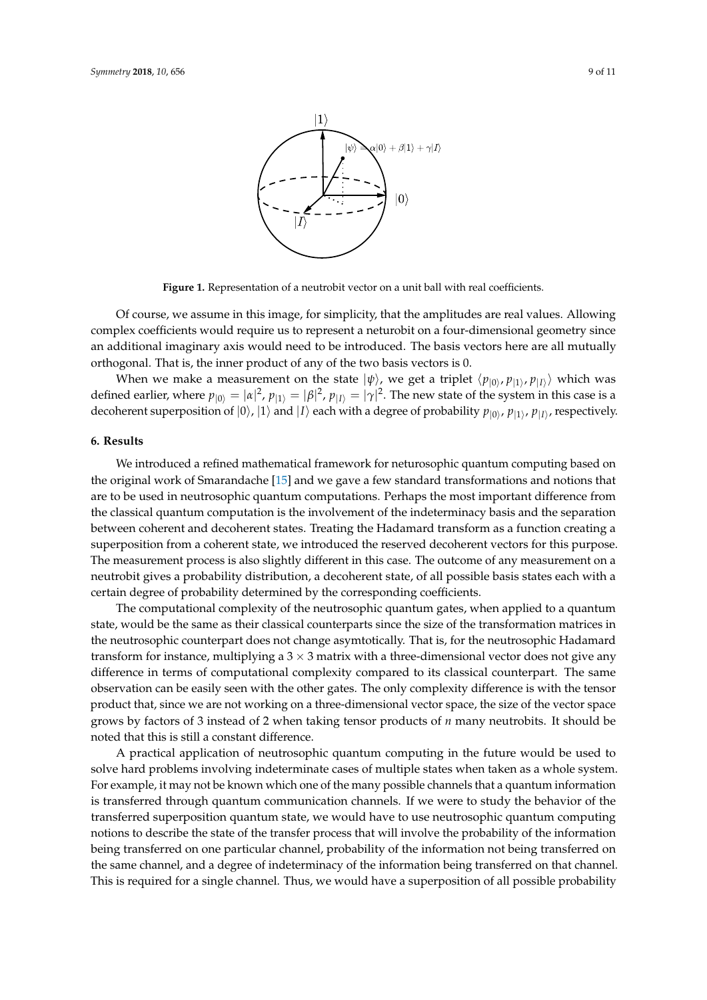<span id="page-8-0"></span>

**Figure 1.** Representation of a neutrobit vector on a unit ball with real coefficients.

Of course, we assume in this image, for simplicity, that the amplitudes are real values. Allowing complex coefficients would require us to represent a neturobit on a four-dimensional geometry since an additional imaginary axis would need to be introduced. The basis vectors here are all mutually orthogonal. That is, the inner product of any of the two basis vectors is 0.

When we make a measurement on the state  $|\psi\rangle$ , we get a triplet  $\langle p_{|0\rangle}, p_{|1\rangle}, p_{|I\rangle} \rangle$  which was defined earlier, where  $p_{|0\rangle} = |\alpha|^2$ ,  $p_{|1\rangle} = |\beta|^2$ ,  $p_{|I\rangle} = |\gamma|^2$ . The new state of the system in this case is a decoherent superposition of  $|0\rangle$ ,  $|1\rangle$  and  $|I\rangle$  each with a degree of probability  $p_{|0\rangle}$ ,  $p_{|1\rangle}$ ,  $p_{|I\rangle}$ , respectively.

## **6. Results**

We introduced a refined mathematical framework for neturosophic quantum computing based on the original work of Smarandache [\[15\]](#page-10-3) and we gave a few standard transformations and notions that are to be used in neutrosophic quantum computations. Perhaps the most important difference from the classical quantum computation is the involvement of the indeterminacy basis and the separation between coherent and decoherent states. Treating the Hadamard transform as a function creating a superposition from a coherent state, we introduced the reserved decoherent vectors for this purpose. The measurement process is also slightly different in this case. The outcome of any measurement on a neutrobit gives a probability distribution, a decoherent state, of all possible basis states each with a certain degree of probability determined by the corresponding coefficients.

The computational complexity of the neutrosophic quantum gates, when applied to a quantum state, would be the same as their classical counterparts since the size of the transformation matrices in the neutrosophic counterpart does not change asymtotically. That is, for the neutrosophic Hadamard transform for instance, multiplying a  $3 \times 3$  matrix with a three-dimensional vector does not give any difference in terms of computational complexity compared to its classical counterpart. The same observation can be easily seen with the other gates. The only complexity difference is with the tensor product that, since we are not working on a three-dimensional vector space, the size of the vector space grows by factors of 3 instead of 2 when taking tensor products of *n* many neutrobits. It should be noted that this is still a constant difference.

A practical application of neutrosophic quantum computing in the future would be used to solve hard problems involving indeterminate cases of multiple states when taken as a whole system. For example, it may not be known which one of the many possible channels that a quantum information is transferred through quantum communication channels. If we were to study the behavior of the transferred superposition quantum state, we would have to use neutrosophic quantum computing notions to describe the state of the transfer process that will involve the probability of the information being transferred on one particular channel, probability of the information not being transferred on the same channel, and a degree of indeterminacy of the information being transferred on that channel. This is required for a single channel. Thus, we would have a superposition of all possible probability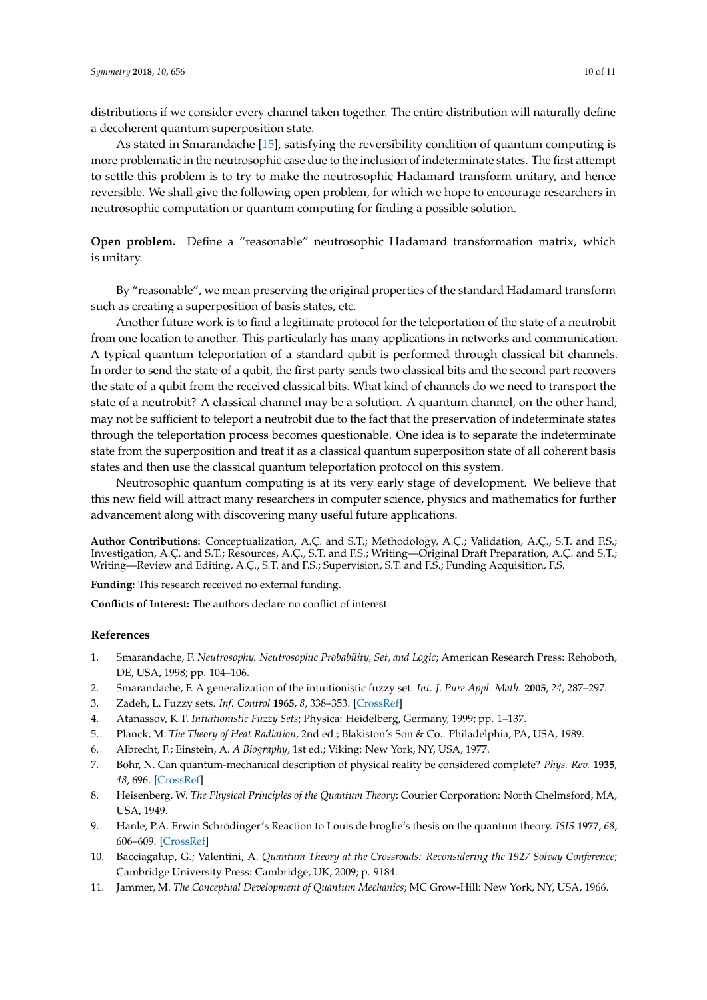distributions if we consider every channel taken together. The entire distribution will naturally define a decoherent quantum superposition state.

As stated in Smarandache [\[15\]](#page-10-3), satisfying the reversibility condition of quantum computing is more problematic in the neutrosophic case due to the inclusion of indeterminate states. The first attempt to settle this problem is to try to make the neutrosophic Hadamard transform unitary, and hence reversible. We shall give the following open problem, for which we hope to encourage researchers in neutrosophic computation or quantum computing for finding a possible solution.

**Open problem.** Define a "reasonable" neutrosophic Hadamard transformation matrix, which is unitary.

By "reasonable", we mean preserving the original properties of the standard Hadamard transform such as creating a superposition of basis states, etc.

Another future work is to find a legitimate protocol for the teleportation of the state of a neutrobit from one location to another. This particularly has many applications in networks and communication. A typical quantum teleportation of a standard qubit is performed through classical bit channels. In order to send the state of a qubit, the first party sends two classical bits and the second part recovers the state of a qubit from the received classical bits. What kind of channels do we need to transport the state of a neutrobit? A classical channel may be a solution. A quantum channel, on the other hand, may not be sufficient to teleport a neutrobit due to the fact that the preservation of indeterminate states through the teleportation process becomes questionable. One idea is to separate the indeterminate state from the superposition and treat it as a classical quantum superposition state of all coherent basis states and then use the classical quantum teleportation protocol on this system.

Neutrosophic quantum computing is at its very early stage of development. We believe that this new field will attract many researchers in computer science, physics and mathematics for further advancement along with discovering many useful future applications.

**Author Contributions:** Conceptualization, A.Ç. and S.T.; Methodology, A.Ç.; Validation, A.Ç., S.T. and F.S.; Investigation, A.Ç. and S.T.; Resources, A.Ç., S.T. and F.S.; Writing—Original Draft Preparation, A.Ç. and S.T.; Writing—Review and Editing, A.Ç., S.T. and F.S.; Supervision, S.T. and F.S.; Funding Acquisition, F.S.

**Funding:** This research received no external funding.

**Conflicts of Interest:** The authors declare no conflict of interest.

#### **References**

- <span id="page-9-0"></span>1. Smarandache, F. *Neutrosophy. Neutrosophic Probability, Set, and Logic*; American Research Press: Rehoboth, DE, USA, 1998; pp. 104–106.
- <span id="page-9-1"></span>2. Smarandache, F. A generalization of the intuitionistic fuzzy set. *Int. J. Pure Appl. Math.* **2005**, *24*, 287–297.
- <span id="page-9-2"></span>3. Zadeh, L. Fuzzy sets. *Inf. Control* **1965**, *8*, 338–353. [\[CrossRef\]](http://dx.doi.org/10.1016/S0019-9958(65)90241-X)
- <span id="page-9-4"></span><span id="page-9-3"></span>4. Atanassov, K.T. *Intuitionistic Fuzzy Sets*; Physica: Heidelberg, Germany, 1999; pp. 1–137.
- 5. Planck, M. *The Theory of Heat Radiation*, 2nd ed.; Blakiston's Son & Co.: Philadelphia, PA, USA, 1989.
- <span id="page-9-5"></span>6. Albrecht, F.; Einstein, A. *A Biography*, 1st ed.; Viking: New York, NY, USA, 1977.
- <span id="page-9-6"></span>7. Bohr, N. Can quantum-mechanical description of physical reality be considered complete? *Phys. Rev.* **1935**, *48*, 696. [\[CrossRef\]](http://dx.doi.org/10.1103/PhysRev.48.696)
- 8. Heisenberg, W. *The Physical Principles of the Quantum Theory*; Courier Corporation: North Chelmsford, MA, USA, 1949.
- 9. Hanle, P.A. Erwin Schrödinger's Reaction to Louis de broglie's thesis on the quantum theory. *ISIS* **1977**, *68*, 606–609. [\[CrossRef\]](http://dx.doi.org/10.1086/351880)
- 10. Bacciagalup, G.; Valentini, A. *Quantum Theory at the Crossroads: Reconsidering the 1927 Solvay Conference*; Cambridge University Press: Cambridge, UK, 2009; p. 9184.
- 11. Jammer, M. *The Conceptual Development of Quantum Mechanics*; MC Grow-Hill: New York, NY, USA, 1966.